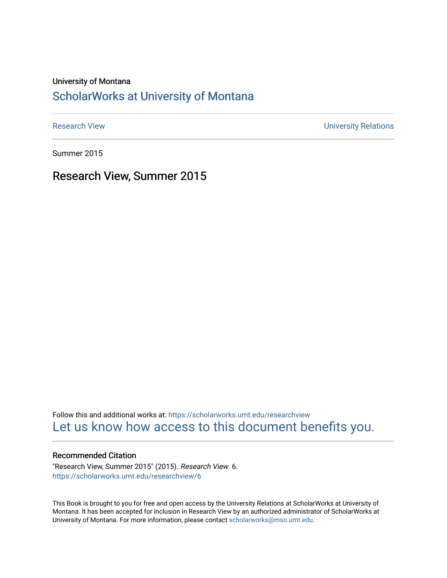#### University of Montana

### [ScholarWorks at University of Montana](https://scholarworks.umt.edu/)

[Research View](https://scholarworks.umt.edu/researchview) **Network** Channels and Channels Channels Channels Channels Channels Channels University Relations

Summer 2015

Research View, Summer 2015

Follow this and additional works at: [https://scholarworks.umt.edu/researchview](https://scholarworks.umt.edu/researchview?utm_source=scholarworks.umt.edu%2Fresearchview%2F6&utm_medium=PDF&utm_campaign=PDFCoverPages)  [Let us know how access to this document benefits you.](https://goo.gl/forms/s2rGfXOLzz71qgsB2) 

#### Recommended Citation

"Research View, Summer 2015" (2015). Research View. 6. [https://scholarworks.umt.edu/researchview/6](https://scholarworks.umt.edu/researchview/6?utm_source=scholarworks.umt.edu%2Fresearchview%2F6&utm_medium=PDF&utm_campaign=PDFCoverPages) 

This Book is brought to you for free and open access by the University Relations at ScholarWorks at University of Montana. It has been accepted for inclusion in Research View by an authorized administrator of ScholarWorks at University of Montana. For more information, please contact [scholarworks@mso.umt.edu.](mailto:scholarworks@mso.umt.edu)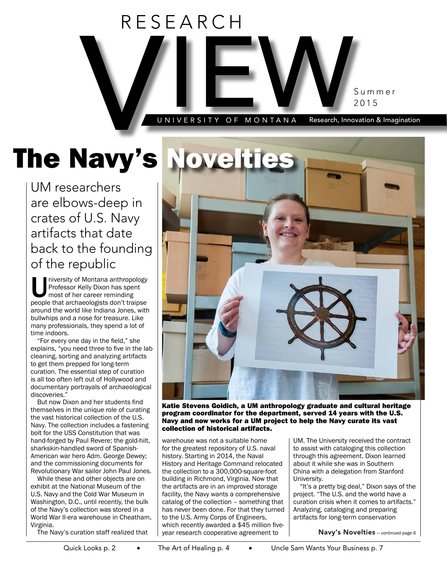

# The Navy's Novelti

UM researchers are elbows-deep in crates of U.S. Navy artifacts that date back to the founding of the republic

Iniversity of Montana anthropology<br>
Professor Kelly Dixon has spent<br>
most of her career reminding<br>
people that archaeologists don't traipse Professor Kelly Dixon has spent most of her career reminding around the world like Indiana Jones, with bullwhips and a nose for treasure. Like many professionals, they spend a lot of time indoors.

"For every one day in the field," she explains, "you need three to five in the lab cleaning, sorting and analyzing artifacts to get them prepped for long-term curation. The essential step of curation is all too often left out of Hollywood and documentary portrayals of archaeological discoveries."

But now Dixon and her students find themselves in the unique role of curating the vast historical collection of the U.S. Navy. The collection includes a fastening bolt for the USS Constitution that was hand-forged by Paul Revere; the gold-hilt, sharkskin-handled sword of Spanish-American war hero Adm. George Dewey; and the commissioning documents for Revolutionary War sailor John Paul Jones.

While these and other objects are on exhibit at the National Museum of the U.S. Navy and the Cold War Museum in Washington, D.C., until recently, the bulk of the Navy's collection was stored in a World War II-era warehouse in Cheatham, Virginia.

The Navy's curation staff realized that



Katie Stevens Goidich, a UM anthropology graduate and cultural heritage program coordinator for the department, served 14 years with the U.S. Navy and now works for a UM project to help the Navy curate its vast collection of historical artifacts.

warehouse was not a suitable home for the greatest repository of U.S. naval history. Starting in 2014, the Naval History and Heritage Command relocated the collection to a 300,000-square-foot building in Richmond, Virginia. Now that the artifacts are in an improved storage facility, the Navy wants a comprehensive catalog of the collection – something that has never been done. For that they turned to the U.S. Army Corps of Engineers, which recently awarded a \$45 million fiveyear research cooperative agreement to

UM. The University received the contract to assist with cataloging this collection through this agreement. Dixon learned about it while she was in Southern China with a delegation from Stanford University.

"It's a pretty big deal," Dixon says of the project. "The U.S. and the world have a curation crisis when it comes to artifacts." Analyzing, cataloging and preparing artifacts for long-term conservation

Navy's Novelties — continued page 6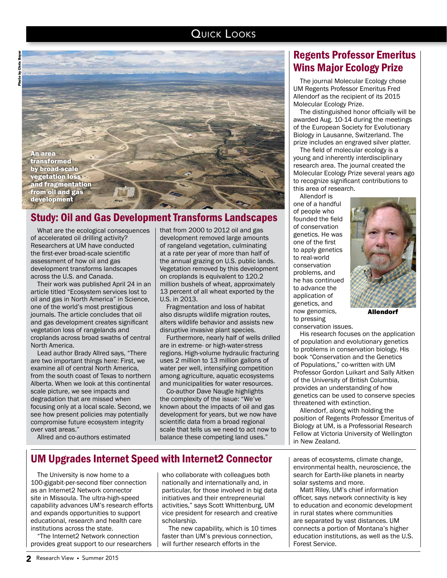#### QUICK LOOKS

An area transformed by broad-scale egetation loss and fragmentation from oil and gas development

### Study: Oil and Gas Development Transforms Landscapes

What are the ecological consequences of accelerated oil drilling activity? Researchers at UM have conducted the first-ever broad-scale scientific assessment of how oil and gas development transforms landscapes across the U.S. and Canada.

Photo by Chris Boyer

hris Boye š Photo

> Their work was published April 24 in an article titled "Ecosystem services lost to oil and gas in North America" in Science, one of the world's most prestigious journals. The article concludes that oil and gas development creates significant vegetation loss of rangelands and croplands across broad swaths of central North America.

> Lead author Brady Allred says, "There are two important things here: First, we examine all of central North America, from the south coast of Texas to northern Alberta. When we look at this continental scale picture, we see impacts and degradation that are missed when focusing only at a local scale. Second, we see how present policies may potentially compromise future ecosystem integrity over vast areas."

that from 2000 to 2012 oil and gas development removed large amounts of rangeland vegetation, culminating at a rate per year of more than half of the annual grazing on U.S. public lands. Vegetation removed by this development on croplands is equivalent to 120.2 million bushels of wheat, approximately 13 percent of all wheat exported by the U.S. in 2013.

Fragmentation and loss of habitat also disrupts wildlife migration routes, alters wildlife behavior and assists new disruptive invasive plant species.

Furthermore, nearly half of wells drilled are in extreme- or high-water-stress regions. High-volume hydraulic fracturing uses 2 million to 13 million gallons of water per well, intensifying competition among agriculture, aquatic ecosystems and municipalities for water resources.

Co-author Dave Naugle highlights the complexity of the issue: "We've known about the impacts of oil and gas development for years, but we now have scientific data from a broad regional scale that tells us we need to act now to balance these competing land uses."

### Regents Professor Emeritus Wins Major Ecology Prize

The journal Molecular Ecology chose UM Regents Professor Emeritus Fred Allendorf as the recipient of its 2015 Molecular Ecology Prize.

The distinguished honor officially will be awarded Aug. 10-14 during the meetings of the European Society for Evolutionary Biology in Lausanne, Switzerland. The prize includes an engraved silver platter.

The field of molecular ecology is a young and inherently interdisciplinary research area. The journal created the Molecular Ecology Prize several years ago to recognize significant contributions to this area of research.

Allendorf is one of a handful of people who founded the field of conservation genetics. He was one of the first to apply genetics to real-world conservation problems, and he has continued to advance the application of genetics, and now genomics, to pressing



Allendorf

conservation issues.

His research focuses on the application of population and evolutionary genetics to problems in conservation biology. His book "Conservation and the Genetics of Populations," co-written with UM Professor Gordon Luikart and Sally Aitken of the University of British Columbia, provides an understanding of how genetics can be used to conserve species threatened with extinction.

Allendorf, along with holding the position of Regents Professor Emeritus of Biology at UM, is a Professorial Research Fellow at Victoria University of Wellington in New Zealand.

Allred and co-authors estimated

### UM Upgrades Internet Speed with Internet2 Connector

The University is now home to a 100-gigabit-per-second fiber connection as an Internet2 Network connector site in Missoula. The ultra-high-speed capability advances UM's research efforts and expands opportunities to support educational, research and health care institutions across the state.

"The Internet2 Network connection provides great support to our researchers who collaborate with colleagues both nationally and internationally and, in particular, for those involved in big data initiatives and their entrepreneurial activities," says Scott Whittenburg, UM vice president for research and creative scholarship.

The new capability, which is 10 times faster than UM's previous connection, will further research efforts in the

areas of ecosystems, climate change, environmental health, neuroscience, the search for Earth-like planets in nearby solar systems and more.

Matt Riley, UM's chief information officer, says network connectivity is key to education and economic development in rural states where communities are separated by vast distances. UM connects a portion of Montana's higher education institutions, as well as the U.S. Forest Service.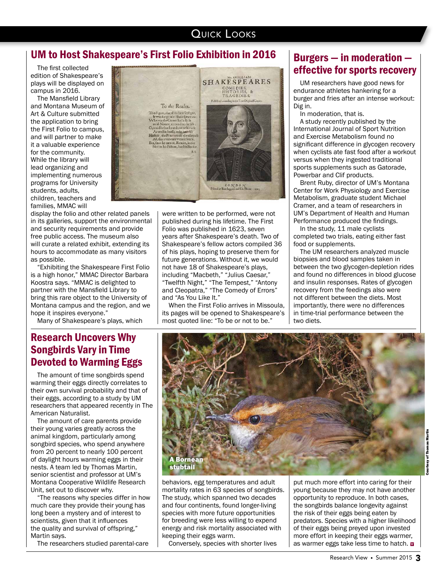#### **QUICK LOOKS**

#### UM to Host Shakespeare's First Folio Exhibition in 2016

The first collected edition of Shakespeare's plays will be displayed on campus in 2016.

The Mansfield Library and Montana Museum of Art & Culture submitted the application to bring the First Folio to campus, and will partner to make it a valuable experience for the community. While the library will lead organizing and implementing numerous programs for University students, adults, children, teachers and families, MMAC will

display the folio and other related panels in its galleries, support the environmental and security requirements and provide free public access. The museum also will curate a related exhibit, extending its hours to accommodate as many visitors as possible.

"Exhibiting the Shakespeare First Folio is a high honor," MMAC Director Barbara Koostra says. "MMAC is delighted to partner with the Mansfield Library to bring this rare object to the University of Montana campus and the region, and we hope it inspires everyone."

Many of Shakespeare's plays, which

The amount of care parents provide their young varies greatly across the animal kingdom, particularly among songbird species, who spend anywhere from 20 percent to nearly 100 percent of daylight hours warming eggs in their nests. A team led by Thomas Martin, senior scientist and professor at UM's Montana Cooperative Wildlife Research

"The reasons why species differ in how much care they provide their young has long been a mystery and of interest to scientists, given that it influences the quality and survival of offspring,"

The researchers studied parental-care

Songbirds Vary in Time Devoted to Warming Eggs The amount of time songbirds spend warming their eggs directly correlates to their own survival probability and that of their eggs, according to a study by UM researchers that appeared recently in The

American Naturalist.

Unit, set out to discover why.

Martin says.

# **SHAKESPEARES** COMEDIES,<br>HISTORIES, &<br>TRAGEDIES. Poblit To the Reader.  $\label{eq:2} \begin{minipage}[t]{0.5\textwidth} \begin{tabular}{lcccc} \textbf{2} & \textbf{3} & \textbf{1} & \textbf{1} & \textbf{1} & \textbf{1} & \textbf{1} & \textbf{1} \\ \textbf{2} & \textbf{3} & \textbf{1} & \textbf{1} & \textbf{1} & \textbf{1} & \textbf{1} & \textbf{1} & \textbf{1} & \textbf{1} \\ \textbf{3} & \textbf{3} & \textbf{3} & \textbf{3} & \textbf{3} & \textbf{1} & \textbf{1} & \textbf{1} & \textbf{1}$  $\begin{array}{c} \textit{I. 0 \textit{IV} D.0 \textit{IV}} \\ \textit{Pinted by Hiac Lagzad, and Ed. Blcomt. 1612} \end{array}$

were written to be performed, were not published during his lifetime. The First Folio was published in 1623, seven years after Shakespeare's death. Two of Shakespeare's fellow actors compiled 36 of his plays, hoping to preserve them for future generations. Without it, we would not have 18 of Shakespeare's plays, including "Macbeth," "Julius Caesar," "Twelfth Night," "The Tempest," "Antony and Cleopatra," "The Comedy of Errors" and "As You Like It."

When the First Folio arrives in Missoula, its pages will be opened to Shakespeare's most quoted line: "To be or not to be."

## Burgers — in moderation effective for sports recovery

UM researchers have good news for endurance athletes hankering for a burger and fries after an intense workout: Dig in.

In moderation, that is.

A study recently published by the International Journal of Sport Nutrition and Exercise Metabolism found no significant difference in glycogen recovery when cyclists ate fast food after a workout versus when they ingested traditional sports supplements such as Gatorade, Powerbar and Clif products.

Brent Ruby, director of UM's Montana Center for Work Physiology and Exercise Metabolism, graduate student Michael Cramer, and a team of researchers in UM's Department of Health and Human Performance produced the findings.

In the study, 11 male cyclists completed two trials, eating either fast food or supplements.

The UM researchers analyzed muscle biopsies and blood samples taken in between the two glycogen-depletion rides and found no differences in blood glucose and insulin responses. Rates of glycogen recovery from the feedings also were not different between the diets. Most importantly, there were no differences in time-trial performance between the two diets.



behaviors, egg temperatures and adult mortality rates in 63 species of songbirds. The study, which spanned two decades and four continents, found longer-living species with more future opportunities for breeding were less willing to expend energy and risk mortality associated with keeping their eggs warm.

Conversely, species with shorter lives

put much more effort into caring for their young because they may not have another opportunity to reproduce. In both cases, the songbirds balance longevity against the risk of their eggs being eaten by predators. Species with a higher likelihood of their eggs being preyed upon invested more effort in keeping their eggs warmer, as warmer eggs take less time to hatch. **W** 

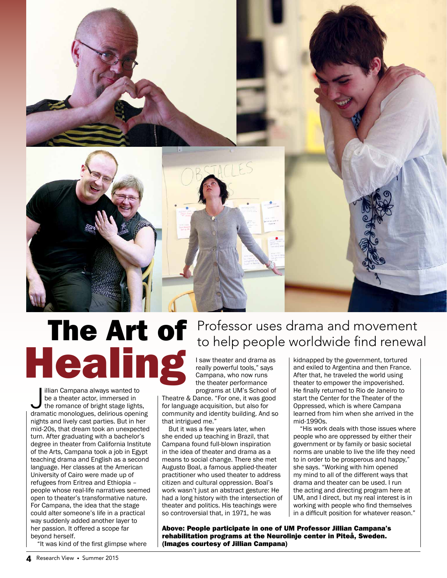

# The Art of Healing

Illian Campana always wanted to<br>be a theater actor, immersed in<br>the romance of bright stage lights,<br>dramatic monologues, delirious opening illian Campana always wanted to be a theater actor, immersed in the romance of bright stage lights, nights and lively cast parties. But in her mid-20s, that dream took an unexpected turn. After graduating with a bachelor's degree in theater from California Institute of the Arts, Campana took a job in Egypt teaching drama and English as a second language. Her classes at the American University of Cairo were made up of refugees from Eritrea and Ethiopia – people whose real-life narratives seemed open to theater's transformative nature. For Campana, the idea that the stage could alter someone's life in a practical way suddenly added another layer to her passion. It offered a scope far beyond herself.

"It was kind of the first glimpse where

## Professor uses drama and movement to help people worldwide find renewal

I saw theater and drama as really powerful tools," says Campana, who now runs the theater performance programs at UM's School of

Theatre & Dance. "For one, it was good for language acquisition, but also for community and identity building. And so that intrigued me."

But it was a few years later, when she ended up teaching in Brazil, that Campana found full-blown inspiration in the idea of theater and drama as a means to social change. There she met Augusto Boal, a famous applied-theater practitioner who used theater to address citizen and cultural oppression. Boal's work wasn't just an abstract gesture: He had a long history with the intersection of theater and politics. His teachings were so controversial that, in 1971, he was

Above: People participate in one of UM Professor Jillian Campana's rehabilitation programs at the Neurolinje center in Piteå, Sweden. (Images courtesy of Jillian Campana)

kidnapped by the government, tortured and exiled to Argentina and then France. After that, he traveled the world using theater to empower the impoverished. He finally returned to Rio de Janeiro to start the Center for the Theater of the Oppressed, which is where Campana learned from him when she arrived in the mid-1990s.

"His work deals with those issues where people who are oppressed by either their government or by family or basic societal norms are unable to live the life they need to in order to be prosperous and happy," she says. "Working with him opened my mind to all of the different ways that drama and theater can be used. I run the acting and directing program here at UM, and I direct, but my real interest is in working with people who find themselves in a difficult position for whatever reason."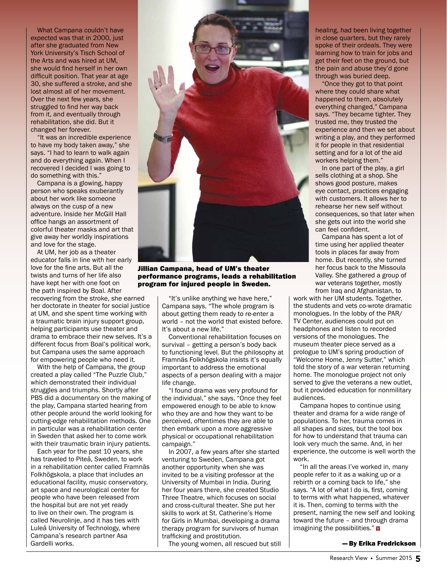What Campana couldn't have expected was that in 2000, just after she graduated from New York University's Tisch School of the Arts and was hired at UM, she would find herself in her own difficult position. That year at age 30, she suffered a stroke, and she lost almost all of her movement. Over the next few years, she struggled to find her way back from it, and eventually through rehabilitation, she did. But it changed her forever.

"It was an incredible experience to have my body taken away," she says. "I had to learn to walk again and do everything again. When I recovered I decided I was going to do something with this."

Campana is a glowing, happy person who speaks exuberantly about her work like someone always on the cusp of a new adventure. Inside her McGill Hall office hangs an assortment of colorful theater masks and art that give away her worldly inspirations and love for the stage.

At UM, her job as a theater educator falls in line with her early love for the fine arts. But all the twists and turns of her life also have kept her with one foot on the path inspired by Boal. After recovering from the stroke, she earned her doctorate in theater for social justice at UM, and she spent time working with a traumatic brain injury support group, helping participants use theater and drama to embrace their new selves. It's a different focus from Boal's political work, but Campana uses the same approach for empowering people who need it.

With the help of Campana, the group created a play called "The Puzzle Club," which demonstrated their individual struggles and triumphs. Shortly after PBS did a documentary on the making of the play, Campana started hearing from other people around the world looking for cutting-edge rehabilitation methods. One in particular was a rehabilitation center in Sweden that asked her to come work with their traumatic brain injury patients.

Each year for the past 10 years, she has traveled to Piteå, Sweden, to work in a rehabilitation center called Framnäs Folkhögskola, a place that includes an educational facility, music conservatory, art space and neurological center for people who have been released from the hospital but are not yet ready to live on their own. The program is called Neurolinje, and it has ties with Luleå University of Technology, where Campana's research partner Asa Gardelli works.



Jillian Campana, head of UM's theater performance programs, leads a rehabilitation program for injured people in Sweden.

"It's unlike anything we have here," Campana says. "The whole program is about getting them ready to re-enter a world – not the world that existed before. It's about a new life."

Conventional rehabilitation focuses on survival – getting a person's body back to functioning level. But the philosophy at Framnäs Folkhögskola insists it's equally important to address the emotional aspects of a person dealing with a major life change.

"I found drama was very profound for the individual," she says. "Once they feel empowered enough to be able to know who they are and how they want to be perceived, oftentimes they are able to then embark upon a more aggressive physical or occupational rehabilitation campaign."

In 2007, a few years after she started venturing to Sweden, Campana got another opportunity when she was invited to be a visiting professor at the University of Mumbai in India. During her four years there, she created Studio Three Theatre, which focuses on social and cross-cultural theater. She put her skills to work at St. Catherine's Home for Girls in Mumbai, developing a drama therapy program for survivors of human trafficking and prostitution.

The young women, all rescued but still

healing, had been living together in close quarters, but they rarely spoke of their ordeals. They were learning how to train for jobs and get their feet on the ground, but the pain and abuse they'd gone through was buried deep.

"Once they got to that point where they could share what happened to them, absolutely everything changed," Campana says. "They became tighter. They trusted me, they trusted the experience and then we set about writing a play, and they performed it for people in that residential setting and for a lot of the aid workers helping them."

In one part of the play, a girl sells clothing at a shop. She shows good posture, makes eye contact, practices engaging with customers. It allows her to rehearse her new self without consequences, so that later when she gets out into the world she can feel confident.

Campana has spent a lot of time using her applied theater tools in places far away from home. But recently, she turned her focus back to the Missoula Valley. She gathered a group of war veterans together, mostly from Iraq and Afghanistan, to

work with her UM students. Together, the students and vets co-wrote dramatic monologues. In the lobby of the PAR/ TV Center, audiences could put on headphones and listen to recorded versions of the monologues. The museum theater piece served as a prologue to UM's spring production of "Welcome Home, Jenny Sutter," which told the story of a war veteran returning home. The monologue project not only served to give the veterans a new outlet, but it provided education for nonmilitary audiences.

Campana hopes to continue using theater and drama for a wide range of populations. To her, trauma comes in all shapes and sizes, but the tool box for how to understand that trauma can look very much the same. And, in her experience, the outcome is well worth the work.

"In all the areas I've worked in, many people refer to it as a waking up or a rebirth or a coming back to life," she says. "A lot of what I do is, first, coming to terms with what happened, whatever it is. Then, coming to terms with the present, naming the new self and looking toward the future – and through drama imagining the possibilities." **¤** 

— By Erika Fredrickson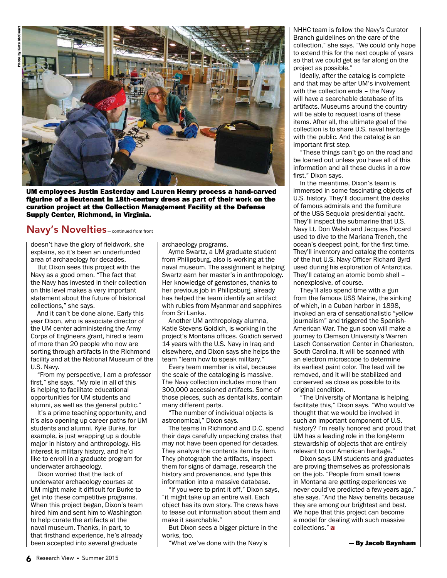

UM employees Justin Easterday and Lauren Henry process a hand-carved figurine of a lieutenant in 18th-century dress as part of their work on the curation project at the Collection Management Facility at the Defense Supply Center, Richmond, in Virginia.

#### Navy's Novelties — continued from front

doesn't have the glory of fieldwork, she explains, so it's been an underfunded area of archaeology for decades.

But Dixon sees this project with the Navy as a good omen. "The fact that the Navy has invested in their collection on this level makes a very important statement about the future of historical collections," she says.

And it can't be done alone. Early this year Dixon, who is associate director of the UM center administering the Army Corps of Engineers grant, hired a team of more than 20 people who now are sorting through artifacts in the Richmond facility and at the National Museum of the U.S. Navy.

"From my perspective, I am a professor first," she says. "My role in all of this is helping to facilitate educational opportunities for UM students and alumni, as well as the general public."

It's a prime teaching opportunity, and it's also opening up career paths for UM students and alumni. Kyle Burke, for example, is just wrapping up a double major in history and anthropology. His interest is military history, and he'd like to enroll in a graduate program for underwater archaeology.

Dixon worried that the lack of underwater archaeology courses at UM might make it difficult for Burke to get into these competitive programs. When this project began, Dixon's team hired him and sent him to Washington to help curate the artifacts at the naval museum. Thanks, in part, to that firsthand experience, he's already been accepted into several graduate

archaeology programs.

Ayme Swartz, a UM graduate student from Philipsburg, also is working at the naval museum. The assignment is helping Swartz earn her master's in anthropology. Her knowledge of gemstones, thanks to her previous job in Philipsburg, already has helped the team identify an artifact with rubies from Myanmar and sapphires from Sri Lanka.

Another UM anthropology alumna, Katie Stevens Goidich, is working in the project's Montana offices. Goidich served 14 years with the U.S. Navy in Iraq and elsewhere, and Dixon says she helps the team "learn how to speak military."

Every team member is vital, because the scale of the cataloging is massive. The Navy collection includes more than 300,000 accessioned artifacts. Some of those pieces, such as dental kits, contain many different parts.

The number of individual objects is astronomical," Dixon says.

The teams in Richmond and D.C. spend their days carefully unpacking crates that may not have been opened for decades. They analyze the contents item by item. They photograph the artifacts, inspect them for signs of damage, research the history and provenance, and type this information into a massive database.

If you were to print it off," Dixon says, "it might take up an entire wall. Each object has its own story. The crews have to tease out information about them and make it searchable."

But Dixon sees a bigger picture in the works, too.

"What we've done with the Navy's

NHHC team is follow the Navy's Curator Branch guidelines on the care of the collection," she says. "We could only hope to extend this for the next couple of years so that we could get as far along on the project as possible."

Ideally, after the catalog is complete – and that may be after UM's involvement with the collection ends – the Navy will have a searchable database of its artifacts. Museums around the country will be able to request loans of these items. After all, the ultimate goal of the collection is to share U.S. naval heritage with the public. And the catalog is an important first step.

These things can't go on the road and be loaned out unless you have all of this information and all these ducks in a row first," Dixon says.

In the meantime, Dixon's team is immersed in some fascinating objects of U.S. history. They'll document the desks of famous admirals and the furniture of the USS Sequoia presidential yacht. They'll inspect the submarine that U.S. Navy Lt. Don Walsh and Jacques Piccard used to dive to the Mariana Trench, the ocean's deepest point, for the first time. They'll inventory and catalog the contents of the hut U.S. Navy Officer Richard Byrd used during his exploration of Antarctica. They'll catalog an atomic bomb shell – nonexplosive, of course.

They'll also spend time with a gun from the famous USS Maine, the sinking of which, in a Cuban harbor in 1898, invoked an era of sensationalistic "yellow journalism" and triggered the Spanish-American War. The gun soon will make a journey to Clemson University's Warren Lasch Conservation Center in Charleston, South Carolina. It will be scanned with an electron microscope to determine its earliest paint color. The lead will be removed, and it will be stabilized and conserved as close as possible to its original condition.

The University of Montana is helping facilitate this," Dixon says. "Who would've thought that we would be involved in such an important component of U.S. history? I'm really honored and proud that UM has a leading role in the long-term stewardship of objects that are entirely relevant to our American heritage."

Dixon says UM students and graduates are proving themselves as professionals on the job. "People from small towns in Montana are getting experiences we never could've predicted a few years ago," she says. "And the Navy benefits because they are among our brightest and best. We hope that this project can become a model for dealing with such massive collections." <mark>w</mark>

— By Jacob Baynham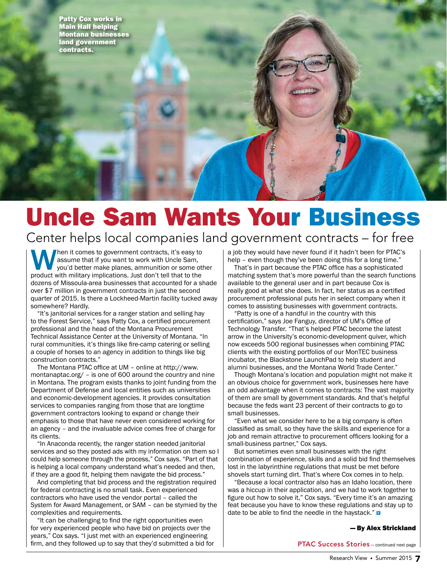Patty Cox works in Main Hall helping Montana businesses land government contracts.

# Uncle Sam Wants Your Business

Center helps local companies land government contracts – for free

Then it comes to government contracts, it's easy to assume that if you want to work with Uncle Sam, you'd better make planes, ammunition or some other product with military implications. Just don't tell that to the dozens of Missoula-area businesses that accounted for a shade over \$7 million in government contracts in just the second quarter of 2015. Is there a Lockheed-Martin facility tucked away somewhere? Hardly.

"It's janitorial services for a ranger station and selling hay to the Forest Service," says Patty Cox, a certified procurement professional and the head of the Montana Procurement Technical Assistance Center at the University of Montana. "In rural communities, it's things like fire-camp catering or selling a couple of horses to an agency in addition to things like big construction contracts."

The Montana PTAC office at UM – online at http://www. montanaptac.org/ – is one of 600 around the country and nine in Montana. The program exists thanks to joint funding from the Department of Defense and local entities such as universities and economic-development agencies. It provides consultation services to companies ranging from those that are longtime government contractors looking to expand or change their emphasis to those that have never even considered working for an agency – and the invaluable advice comes free of charge for its clients.

"In Anaconda recently, the ranger station needed janitorial services and so they posted ads with my information on them so I could help someone through the process," Cox says. "Part of that is helping a local company understand what's needed and then, if they are a good fit, helping them navigate the bid process."

And completing that bid process and the registration required for federal contracting is no small task. Even experienced contractors who have used the vendor portal – called the System for Award Management, or SAM – can be stymied by the complexities and requirements.

"It can be challenging to find the right opportunities even for very experienced people who have bid on projects over the years," Cox says. "I just met with an experienced engineering firm, and they followed up to say that they'd submitted a bid for a job they would have never found if it hadn't been for PTAC's help – even though they've been doing this for a long time."

That's in part because the PTAC office has a sophisticated matching system that's more powerful than the search functions available to the general user and in part because Cox is really good at what she does. In fact, her status as a certified procurement professional puts her in select company when it comes to assisting businesses with government contracts.

"Patty is one of a handful in the country with this certification," says Joe Fanguy, director of UM's Office of Technology Transfer. "That's helped PTAC become the latest arrow in the University's economic-development quiver, which now exceeds 500 regional businesses when combining PTAC clients with the existing portfolios of our MonTEC business incubator, the Blackstone LaunchPad to help student and alumni businesses, and the Montana World Trade Center."

Though Montana's location and population might not make it an obvious choice for government work, businesses here have an odd advantage when it comes to contracts: The vast majority of them are small by government standards. And that's helpful because the feds want 23 percent of their contracts to go to small businesses.

"Even what we consider here to be a big company is often classified as small, so they have the skills and experience for a job and remain attractive to procurement officers looking for a small-business partner," Cox says.

But sometimes even small businesses with the right combination of experience, skills and a solid bid find themselves lost in the labyrinthine regulations that must be met before shovels start turning dirt. That's where Cox comes in to help.

"Because a local contractor also has an Idaho location, there was a hiccup in their application, and we had to work together to figure out how to solve it," Cox says. "Every time it's an amazing feat because you have to know these regulations and stay up to date to be able to find the needle in the haystack." **v** 

#### — By Alex Strickland

PTAC Success Stories — continued next page